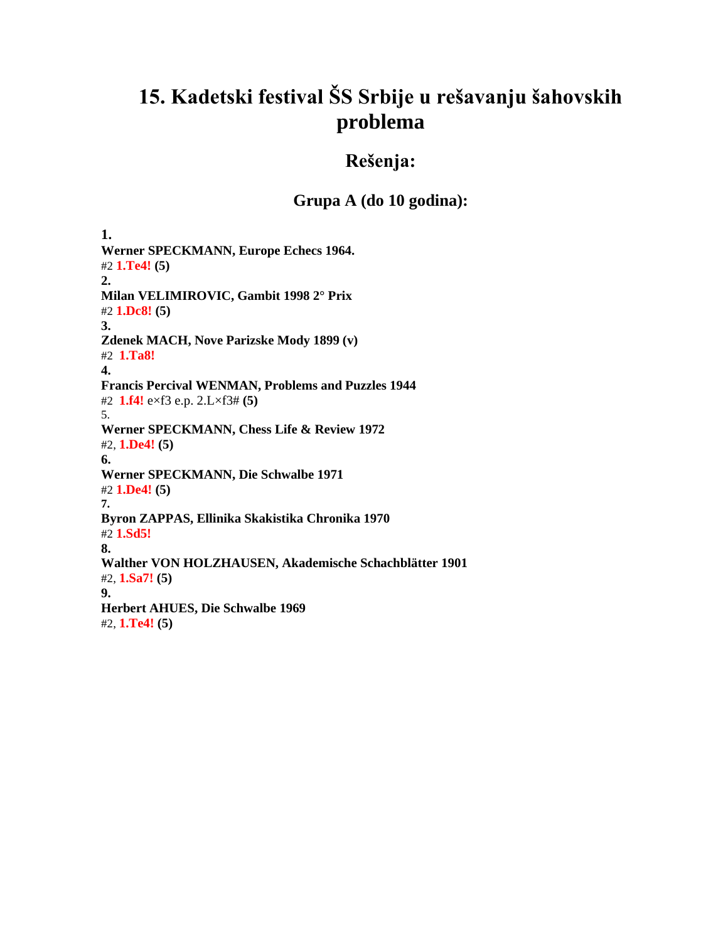# **15. Kadetski festival ŠS Srbije u rešavanju šahovskih problema**

## **Rešenja:**

### **Grupa A (do 10 godina):**

**1. Werner SPECKMANN, Europe Echecs 1964.** #2 **1.Te4! (5) 2. Milan VELIMIROVIC, Gambit 1998 2° Prix** #2 **1.Dc8! (5) 3. Zdenek MACH, Nove Parizske Mody 1899 (v)** #2 **1.Ta8! 4. Francis Percival WENMAN, Problems and Puzzles 1944** #2 **1.f4!** e×f3 e.p. 2.L×f3# **(5)** 5. **Werner SPECKMANN, Chess Life & Review 1972** #2, **1.De4! (5) 6. Werner SPECKMANN, Die Schwalbe 1971** #2 **1.De4! (5) 7. Byron ZAPPAS, Ellinika Skakistika Chronika 1970** #2 **1.Sd5! 8. Walther VON HOLZHAUSEN, Akademische Schachblätter 1901** #2, **1.Sa7! (5) 9. Herbert AHUES, Die Schwalbe 1969** #2, **1.Te4! (5)**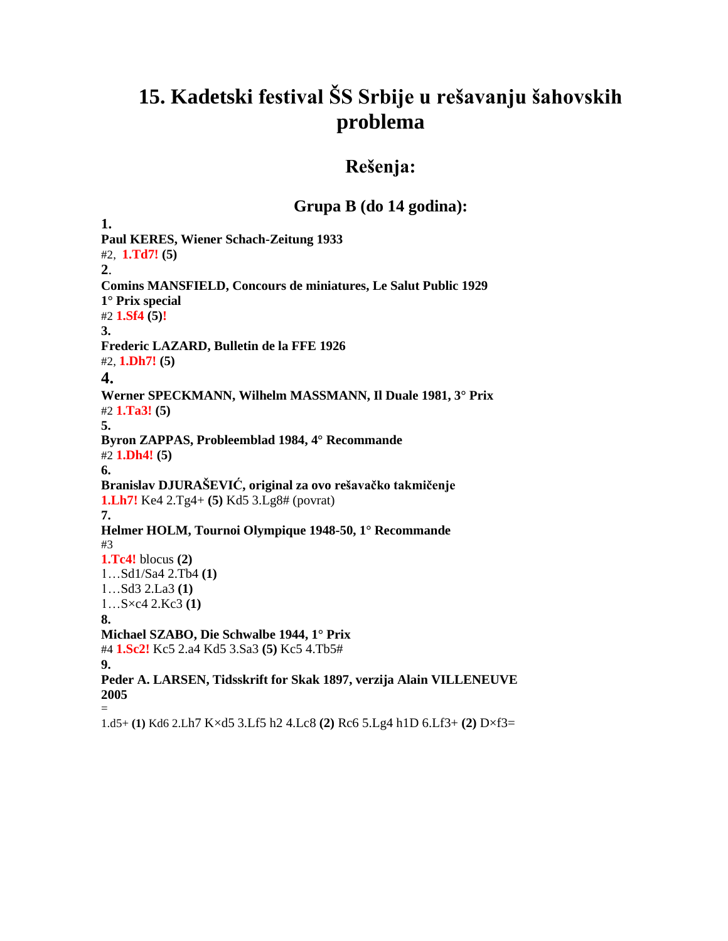## **15. Kadetski festival ŠS Srbije u rešavanju šahovskih problema**

### **Rešenja:**

### **Grupa B (do 14 godina):**

**1. Paul KERES, Wiener Schach-Zeitung 1933** #2, **1.Td7! (5) 2**. **Comins MANSFIELD, Concours de miniatures, Le Salut Public 1929 1° Prix special** #2 **1.Sf4 (5)! 3. Frederic LAZARD, Bulletin de la FFE 1926** #2, **1.Dh7! (5) 4. Werner SPECKMANN, Wilhelm MASSMANN, Il Duale 1981, 3° Prix** #2 **1.Ta3! (5) 5. Byron ZAPPAS, Probleemblad 1984, 4° Recommande** #2 **1.Dh4! (5) 6. Branislav DJURAŠEVIĆ, original za ovo rešavačko takmičenje 1.Lh7!** Ke4 2.Tg4+ **(5)** Kd5 3.Lg8# (povrat) **7. Helmer HOLM, Tournoi Olympique 1948-50, 1° Recommande** #3 **1.Tc4!** blocus **(2)** 1…Sd1/Sa4 2.Tb4 **(1)** 1…Sd3 2.La3 **(1)** 1…S×c4 2.Kc3 **(1) 8. Michael SZABO, Die Schwalbe 1944, 1° Prix** #4 **1.Sc2!** Kc5 2.a4 Kd5 3.Sa3 **(5)** Kc5 4.Tb5# **9. Peder A. LARSEN, Tidsskrift for Skak 1897, verzija Alain VILLENEUVE 2005** = 1.d5+ **(1)** Kd6 2.Lh7 K×d5 3.Lf5 h2 4.Lc8 **(2)** Rc6 5.Lg4 h1D 6.Lf3+ **(2)** D×f3=